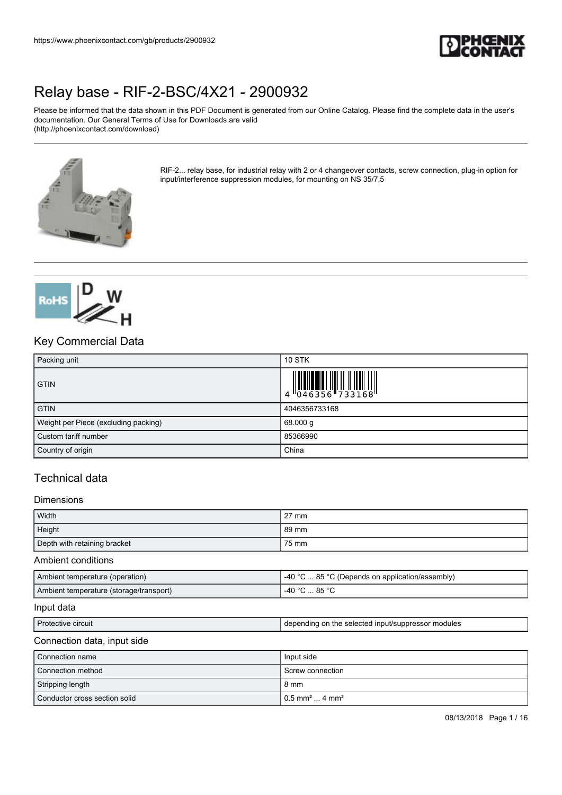

Please be informed that the data shown in this PDF Document is generated from our Online Catalog. Please find the complete data in the user's documentation. Our General Terms of Use for Downloads are valid (http://phoenixcontact.com/download)



RIF-2... relay base, for industrial relay with 2 or 4 changeover contacts, screw connection, plug-in option for input/interference suppression modules, for mounting on NS 35/7,5



## Key Commercial Data

| Packing unit                         | <b>10 STK</b>                                                             |
|--------------------------------------|---------------------------------------------------------------------------|
| <b>GTIN</b>                          | $\begin{array}{c} 1 & 0 & 0 & 0 \\ 0 & 0 & 4 & 6 & 3 & 5 & 6 \end{array}$ |
| <b>GTIN</b>                          | 4046356733168                                                             |
| Weight per Piece (excluding packing) | 68.000 g                                                                  |
| Custom tariff number                 | 85366990                                                                  |
| Country of origin                    | China                                                                     |

## Technical data

### Dimensions

| Width                        | $27 \text{ mm}$ |
|------------------------------|-----------------|
| Height                       | 89 mm           |
| Depth with retaining bracket | 75 mm           |

### Ambient conditions

| Ambient temperature (operation)         | -40 °C  85 °C (Depends on application/assembly) |
|-----------------------------------------|-------------------------------------------------|
| Ambient temperature (storage/transport) | -40 °C  85 °C                                   |

#### Input data

| Protective circuit | depending on the selected input/suppressor modules |
|--------------------|----------------------------------------------------|

### Connection data, input side

| l Connection name               | Input side                                       |
|---------------------------------|--------------------------------------------------|
| l Connection method             | Screw connection                                 |
| Stripping length                | 8 mm                                             |
| l Conductor cross section solid | $10.5$ mm <sup>2</sup> $\dots$ 4 mm <sup>2</sup> |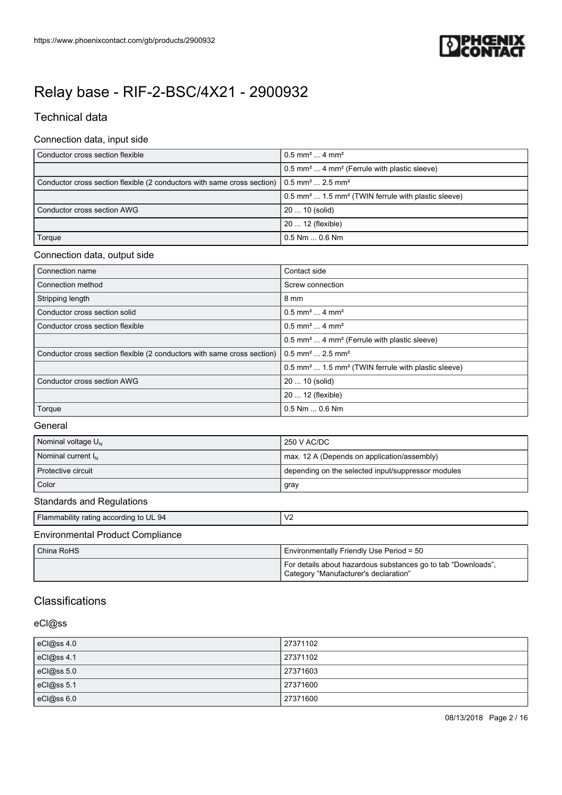

## Technical data

### Connection data, input side

| Conductor cross section flexible                                                                                         | $0.5$ mm <sup>2</sup> 4 mm <sup>2</sup>                                    |
|--------------------------------------------------------------------------------------------------------------------------|----------------------------------------------------------------------------|
|                                                                                                                          | 0.5 mm <sup>2</sup> 4 mm <sup>2</sup> (Ferrule with plastic sleeve)        |
| Conductor cross section flexible (2 conductors with same cross section) $\sqrt{0.5}$ mm <sup>2</sup> 2.5 mm <sup>2</sup> |                                                                            |
|                                                                                                                          | 0.5 mm <sup>2</sup> 1.5 mm <sup>2</sup> (TWIN ferrule with plastic sleeve) |
| Conductor cross section AWG                                                                                              | 20  10 (solid)                                                             |
|                                                                                                                          | 20  12 (flexible)                                                          |
| Torque                                                                                                                   | $0.5$ Nm $$ 0.6 Nm                                                         |

### Connection data, output side

| Connection name                                                         | Contact side                                                               |
|-------------------------------------------------------------------------|----------------------------------------------------------------------------|
| Connection method                                                       | Screw connection                                                           |
| Stripping length                                                        | 8 mm                                                                       |
| Conductor cross section solid                                           | $0.5$ mm <sup>2</sup> 4 mm <sup>2</sup>                                    |
| Conductor cross section flexible                                        | $0.5$ mm <sup>2</sup> 4 mm <sup>2</sup>                                    |
|                                                                         | 0.5 mm <sup>2</sup> 4 mm <sup>2</sup> (Ferrule with plastic sleeve)        |
| Conductor cross section flexible (2 conductors with same cross section) | $0.5$ mm <sup>2</sup> 2.5 mm <sup>2</sup>                                  |
|                                                                         | 0.5 mm <sup>2</sup> 1.5 mm <sup>2</sup> (TWIN ferrule with plastic sleeve) |
| Conductor cross section AWG                                             | 20  10 (solid)                                                             |
|                                                                         | 20  12 (flexible)                                                          |
| Torque                                                                  | $0.5$ Nm $\dots$ 0.6 Nm                                                    |

### **General**

| Nominal voltage U <sub>N</sub> | 250 V AC/DC                                        |
|--------------------------------|----------------------------------------------------|
| Nominal current I <sub>N</sub> | max. 12 A (Depends on application/assembly)        |
| l Protective circuit           | depending on the selected input/suppressor modules |
| Color                          | gray                                               |

### Standards and Regulations

| $\mathsf{IV}2$<br>Flammability rating according to UL 94 |
|----------------------------------------------------------|
|----------------------------------------------------------|

## Environmental Product Compliance

| l China RoHS | Environmentally Friendly Use Period = 50                                                               |
|--------------|--------------------------------------------------------------------------------------------------------|
|              | For details about hazardous substances go to tab "Downloads".<br>Category "Manufacturer's declaration" |

## **Classifications**

### eCl@ss

| eCl@ss 4.0 | 27371102 |
|------------|----------|
| eCl@ss 4.1 | 27371102 |
| eCl@ss 5.0 | 27371603 |
| eCl@ss 5.1 | 27371600 |
| eCl@ss 6.0 | 27371600 |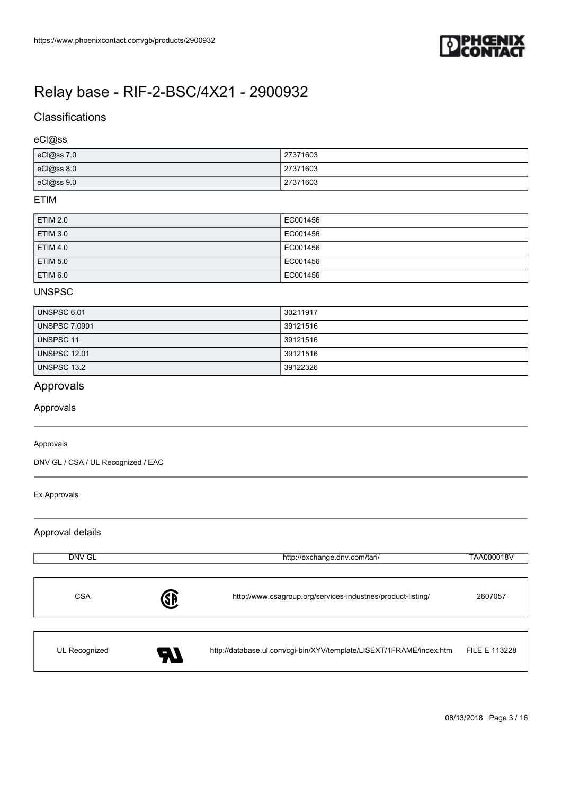

## **Classifications**

eCl@ss

| eCl@ss 7.0 | 27371603 |
|------------|----------|
| eCl@ss 8.0 | 27371603 |
| eCl@ss 9.0 | 27371603 |

### ETIM

| <b>ETIM 2.0</b> | EC001456 |
|-----------------|----------|
| <b>ETIM 3.0</b> | EC001456 |
| <b>ETIM 4.0</b> | EC001456 |
| <b>ETIM 5.0</b> | EC001456 |
| <b>ETIM 6.0</b> | EC001456 |

### UNSPSC

| UNSPSC 6.01          | 30211917 |
|----------------------|----------|
| <b>UNSPSC 7.0901</b> | 39121516 |
| UNSPSC 11            | 39121516 |
| UNSPSC 12.01         | 39121516 |
| UNSPSC 13.2          | 39122326 |

## Approvals

Approvals

### Approvals

DNV GL / CSA / UL Recognized / EAC

#### Ex Approvals

Approval details

| DNV GL        | http://exchange.dnv.com/tari/ |                                                                     | TAA000018V    |
|---------------|-------------------------------|---------------------------------------------------------------------|---------------|
| <b>CSA</b>    | <b>SP</b>                     | http://www.csagroup.org/services-industries/product-listing/        | 2607057       |
| UL Recognized | U                             | http://database.ul.com/cgi-bin/XYV/template/LISEXT/1FRAME/index.htm | FILE E 113228 |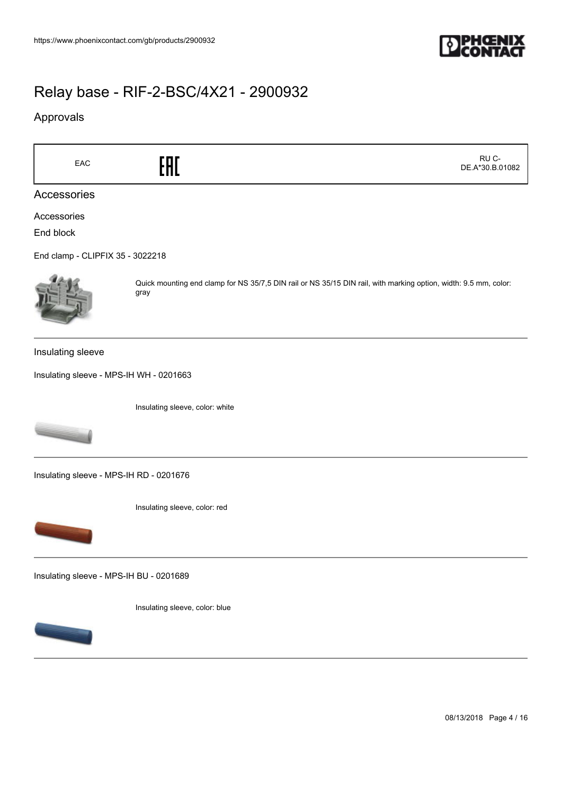

## Approvals

 RU C-EAC<sub>EAC</sub>ERE DE.A\*30.B.01082 Accessories Accessories End block [End clamp - CLIPFIX 35 - 3022218](https://www.phoenixcontact.com/gb/products/3022218) Quick mounting end clamp for NS 35/7,5 DIN rail or NS 35/15 DIN rail, with marking option, width: 9.5 mm, color: gray Insulating sleeve [Insulating sleeve - MPS-IH WH - 0201663](https://www.phoenixcontact.com/gb/products/0201663) Insulating sleeve, color: white [Insulating sleeve - MPS-IH RD - 0201676](https://www.phoenixcontact.com/gb/products/0201676) Insulating sleeve, color: red [Insulating sleeve - MPS-IH BU - 0201689](https://www.phoenixcontact.com/gb/products/0201689) Insulating sleeve, color: blue

08/13/2018 Page 4 / 16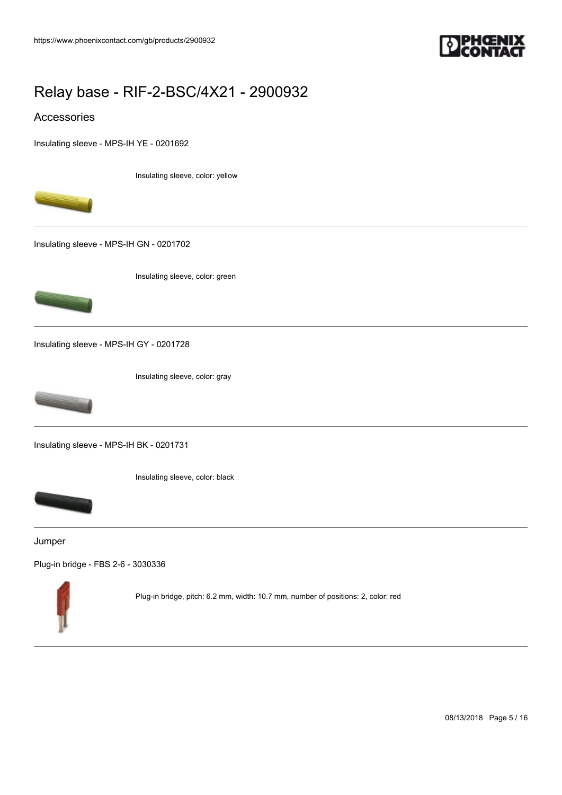

## Accessories

[Insulating sleeve - MPS-IH YE - 0201692](https://www.phoenixcontact.com/gb/products/0201692)

Insulating sleeve, color: yellow



[Insulating sleeve - MPS-IH GN - 0201702](https://www.phoenixcontact.com/gb/products/0201702)

Insulating sleeve, color: green



[Insulating sleeve - MPS-IH GY - 0201728](https://www.phoenixcontact.com/gb/products/0201728)

Insulating sleeve, color: gray



[Insulating sleeve - MPS-IH BK - 0201731](https://www.phoenixcontact.com/gb/products/0201731)



Insulating sleeve, color: black

Jumper

[Plug-in bridge - FBS 2-6 - 3030336](https://www.phoenixcontact.com/gb/products/3030336)



Plug-in bridge, pitch: 6.2 mm, width: 10.7 mm, number of positions: 2, color: red

08/13/2018 Page 5 / 16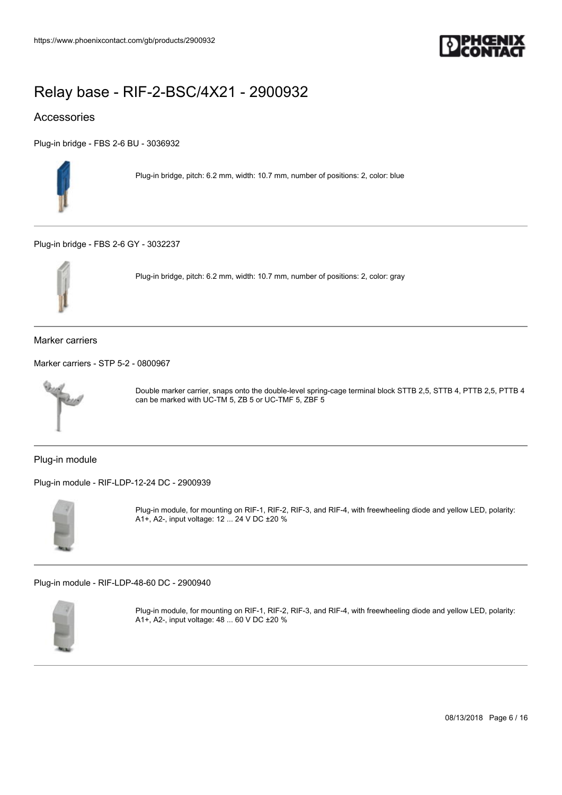

## Accessories

[Plug-in bridge - FBS 2-6 BU - 3036932](https://www.phoenixcontact.com/gb/products/3036932)



Plug-in bridge, pitch: 6.2 mm, width: 10.7 mm, number of positions: 2, color: blue

[Plug-in bridge - FBS 2-6 GY - 3032237](https://www.phoenixcontact.com/gb/products/3032237)



Plug-in bridge, pitch: 6.2 mm, width: 10.7 mm, number of positions: 2, color: gray

Marker carriers

[Marker carriers - STP 5-2 - 0800967](https://www.phoenixcontact.com/gb/products/0800967)



Double marker carrier, snaps onto the double-level spring-cage terminal block STTB 2,5, STTB 4, PTTB 2,5, PTTB 4 can be marked with UC-TM 5, ZB 5 or UC-TMF 5, ZBF 5

Plug-in module

[Plug-in module - RIF-LDP-12-24 DC - 2900939](https://www.phoenixcontact.com/gb/products/2900939)



Plug-in module, for mounting on RIF-1, RIF-2, RIF-3, and RIF-4, with freewheeling diode and yellow LED, polarity: A1+, A2-, input voltage: 12 ... 24 V DC ±20 %

[Plug-in module - RIF-LDP-48-60 DC - 2900940](https://www.phoenixcontact.com/gb/products/2900940)



Plug-in module, for mounting on RIF-1, RIF-2, RIF-3, and RIF-4, with freewheeling diode and yellow LED, polarity: A1+, A2-, input voltage: 48 ... 60 V DC ±20 %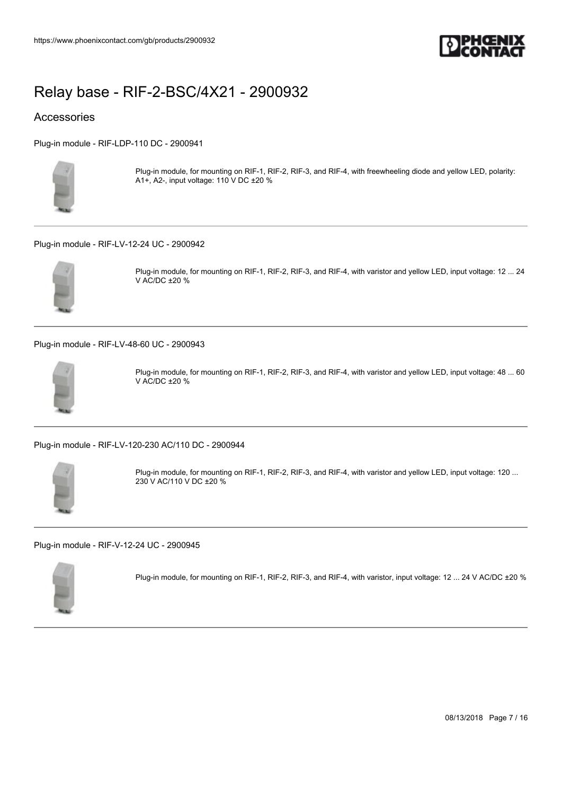

## Accessories

[Plug-in module - RIF-LDP-110 DC - 2900941](https://www.phoenixcontact.com/gb/products/2900941)



Plug-in module, for mounting on RIF-1, RIF-2, RIF-3, and RIF-4, with freewheeling diode and yellow LED, polarity: A1+, A2-, input voltage: 110 V DC ±20 %

[Plug-in module - RIF-LV-12-24 UC - 2900942](https://www.phoenixcontact.com/gb/products/2900942)



Plug-in module, for mounting on RIF-1, RIF-2, RIF-3, and RIF-4, with varistor and yellow LED, input voltage: 12 ... 24 V AC/DC ±20 %

[Plug-in module - RIF-LV-48-60 UC - 2900943](https://www.phoenixcontact.com/gb/products/2900943)



Plug-in module, for mounting on RIF-1, RIF-2, RIF-3, and RIF-4, with varistor and yellow LED, input voltage: 48 ... 60 V AC/DC ±20 %

[Plug-in module - RIF-LV-120-230 AC/110 DC - 2900944](https://www.phoenixcontact.com/gb/products/2900944)



Plug-in module, for mounting on RIF-1, RIF-2, RIF-3, and RIF-4, with varistor and yellow LED, input voltage: 120 ... 230 V AC/110 V DC ±20 %

[Plug-in module - RIF-V-12-24 UC - 2900945](https://www.phoenixcontact.com/gb/products/2900945)



Plug-in module, for mounting on RIF-1, RIF-2, RIF-3, and RIF-4, with varistor, input voltage: 12 ... 24 V AC/DC ±20 %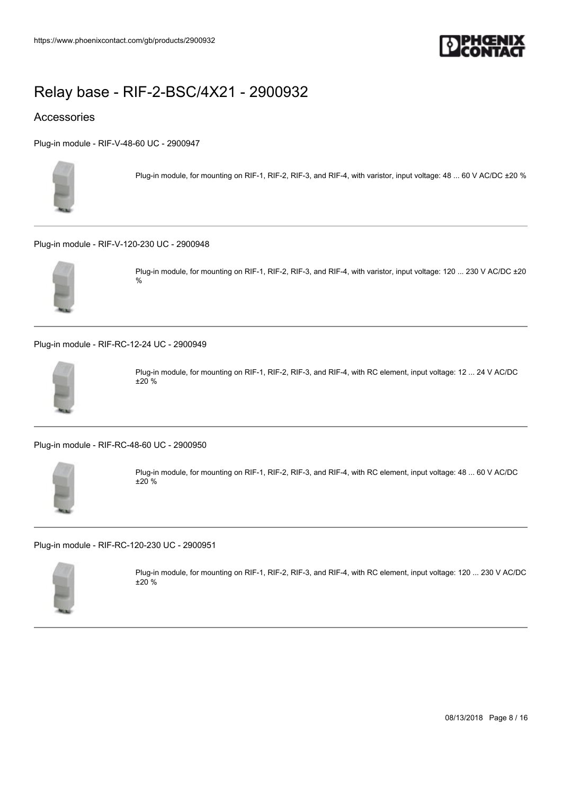

## Accessories

[Plug-in module - RIF-V-48-60 UC - 2900947](https://www.phoenixcontact.com/gb/products/2900947)



Plug-in module, for mounting on RIF-1, RIF-2, RIF-3, and RIF-4, with varistor, input voltage: 48 ... 60 V AC/DC ±20 %

[Plug-in module - RIF-V-120-230 UC - 2900948](https://www.phoenixcontact.com/gb/products/2900948)



Plug-in module, for mounting on RIF-1, RIF-2, RIF-3, and RIF-4, with varistor, input voltage: 120 ... 230 V AC/DC ±20 %

[Plug-in module - RIF-RC-12-24 UC - 2900949](https://www.phoenixcontact.com/gb/products/2900949)



Plug-in module, for mounting on RIF-1, RIF-2, RIF-3, and RIF-4, with RC element, input voltage: 12 ... 24 V AC/DC ±20 %

[Plug-in module - RIF-RC-48-60 UC - 2900950](https://www.phoenixcontact.com/gb/products/2900950)



Plug-in module, for mounting on RIF-1, RIF-2, RIF-3, and RIF-4, with RC element, input voltage: 48 ... 60 V AC/DC ±20 %

[Plug-in module - RIF-RC-120-230 UC - 2900951](https://www.phoenixcontact.com/gb/products/2900951)



Plug-in module, for mounting on RIF-1, RIF-2, RIF-3, and RIF-4, with RC element, input voltage: 120 ... 230 V AC/DC ±20 %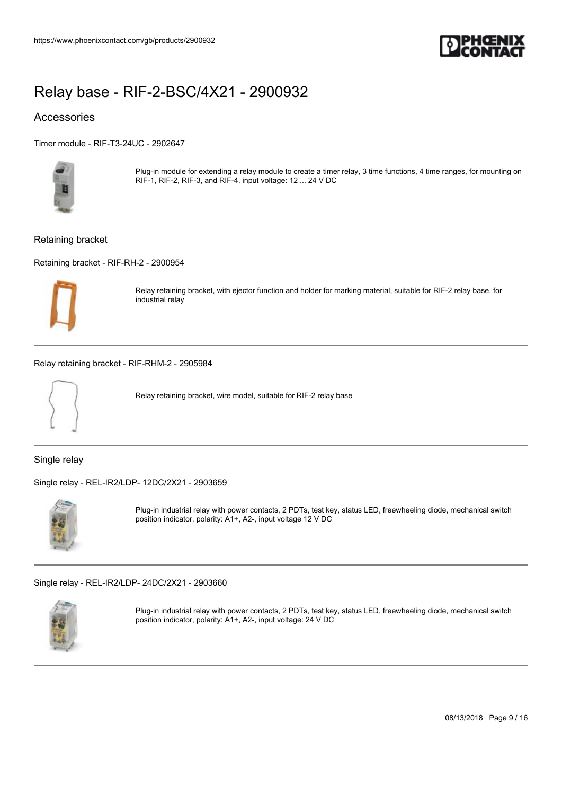

## Accessories

[Timer module - RIF-T3-24UC - 2902647](https://www.phoenixcontact.com/gb/products/2902647)



Plug-in module for extending a relay module to create a timer relay, 3 time functions, 4 time ranges, for mounting on RIF-1, RIF-2, RIF-3, and RIF-4, input voltage: 12 ... 24 V DC

### Retaining bracket

[Retaining bracket - RIF-RH-2 - 2900954](https://www.phoenixcontact.com/gb/products/2900954)



Relay retaining bracket, with ejector function and holder for marking material, suitable for RIF-2 relay base, for industrial relay

[Relay retaining bracket - RIF-RHM-2 - 2905984](https://www.phoenixcontact.com/gb/products/2905984)



Relay retaining bracket, wire model, suitable for RIF-2 relay base

Single relay

[Single relay - REL-IR2/LDP- 12DC/2X21 - 2903659](https://www.phoenixcontact.com/gb/products/2903659)



Plug-in industrial relay with power contacts, 2 PDTs, test key, status LED, freewheeling diode, mechanical switch position indicator, polarity: A1+, A2-, input voltage 12 V DC

[Single relay - REL-IR2/LDP- 24DC/2X21 - 2903660](https://www.phoenixcontact.com/gb/products/2903660)



Plug-in industrial relay with power contacts, 2 PDTs, test key, status LED, freewheeling diode, mechanical switch position indicator, polarity: A1+, A2-, input voltage: 24 V DC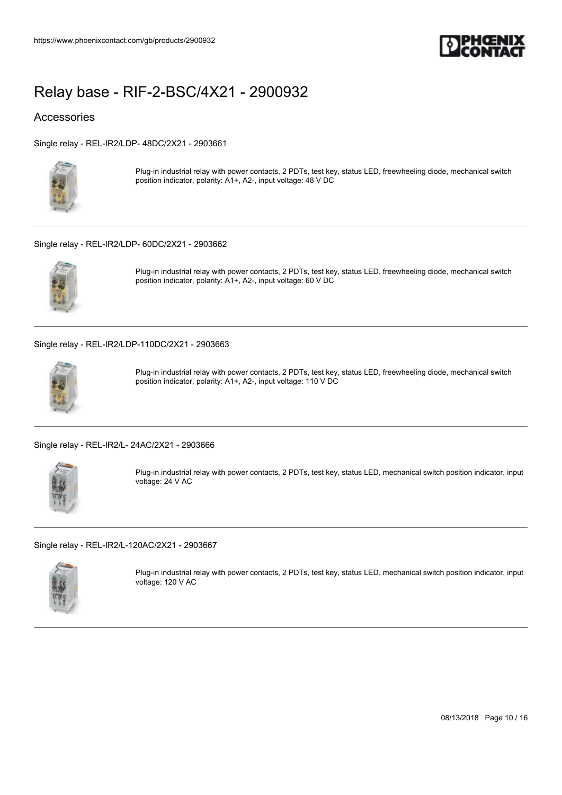

## Accessories

[Single relay - REL-IR2/LDP- 48DC/2X21 - 2903661](https://www.phoenixcontact.com/gb/products/2903661)



Plug-in industrial relay with power contacts, 2 PDTs, test key, status LED, freewheeling diode, mechanical switch position indicator, polarity: A1+, A2-, input voltage: 48 V DC

### [Single relay - REL-IR2/LDP- 60DC/2X21 - 2903662](https://www.phoenixcontact.com/gb/products/2903662)



Plug-in industrial relay with power contacts, 2 PDTs, test key, status LED, freewheeling diode, mechanical switch position indicator, polarity: A1+, A2-, input voltage: 60 V DC

[Single relay - REL-IR2/LDP-110DC/2X21 - 2903663](https://www.phoenixcontact.com/gb/products/2903663)



Plug-in industrial relay with power contacts, 2 PDTs, test key, status LED, freewheeling diode, mechanical switch position indicator, polarity: A1+, A2-, input voltage: 110 V DC

[Single relay - REL-IR2/L- 24AC/2X21 - 2903666](https://www.phoenixcontact.com/gb/products/2903666)



Plug-in industrial relay with power contacts, 2 PDTs, test key, status LED, mechanical switch position indicator, input voltage: 24 V AC

[Single relay - REL-IR2/L-120AC/2X21 - 2903667](https://www.phoenixcontact.com/gb/products/2903667)



Plug-in industrial relay with power contacts, 2 PDTs, test key, status LED, mechanical switch position indicator, input voltage: 120 V AC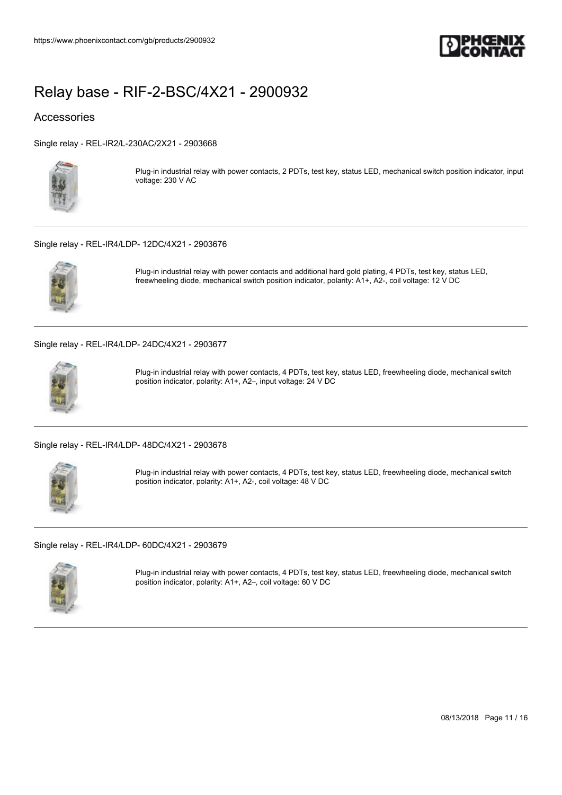

### Accessories

[Single relay - REL-IR2/L-230AC/2X21 - 2903668](https://www.phoenixcontact.com/gb/products/2903668)



Plug-in industrial relay with power contacts, 2 PDTs, test key, status LED, mechanical switch position indicator, input voltage: 230 V AC

### [Single relay - REL-IR4/LDP- 12DC/4X21 - 2903676](https://www.phoenixcontact.com/gb/products/2903676)



Plug-in industrial relay with power contacts and additional hard gold plating, 4 PDTs, test key, status LED, freewheeling diode, mechanical switch position indicator, polarity: A1+, A2-, coil voltage: 12 V DC

[Single relay - REL-IR4/LDP- 24DC/4X21 - 2903677](https://www.phoenixcontact.com/gb/products/2903677)



Plug-in industrial relay with power contacts, 4 PDTs, test key, status LED, freewheeling diode, mechanical switch position indicator, polarity: A1+, A2–, input voltage: 24 V DC

[Single relay - REL-IR4/LDP- 48DC/4X21 - 2903678](https://www.phoenixcontact.com/gb/products/2903678)



Plug-in industrial relay with power contacts, 4 PDTs, test key, status LED, freewheeling diode, mechanical switch position indicator, polarity: A1+, A2-, coil voltage: 48 V DC

[Single relay - REL-IR4/LDP- 60DC/4X21 - 2903679](https://www.phoenixcontact.com/gb/products/2903679)



Plug-in industrial relay with power contacts, 4 PDTs, test key, status LED, freewheeling diode, mechanical switch position indicator, polarity: A1+, A2–, coil voltage: 60 V DC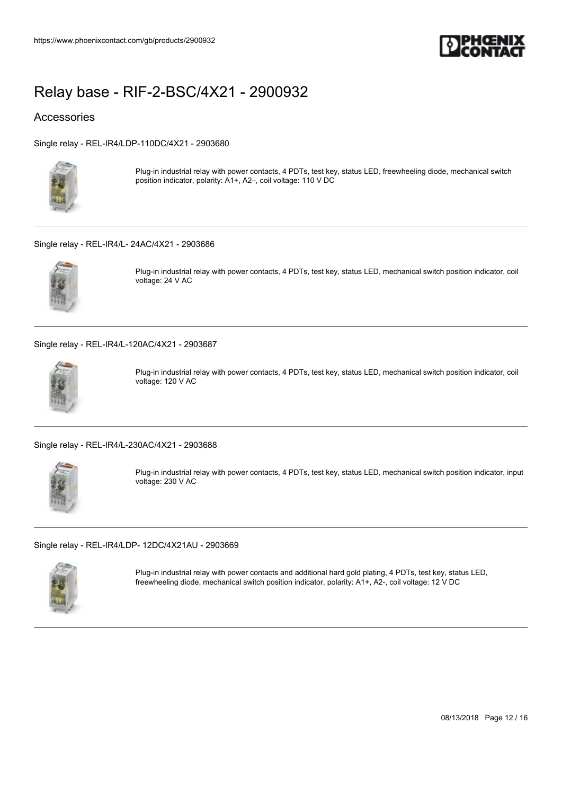

### Accessories

[Single relay - REL-IR4/LDP-110DC/4X21 - 2903680](https://www.phoenixcontact.com/gb/products/2903680)



Plug-in industrial relay with power contacts, 4 PDTs, test key, status LED, freewheeling diode, mechanical switch position indicator, polarity: A1+, A2–, coil voltage: 110 V DC

[Single relay - REL-IR4/L- 24AC/4X21 - 2903686](https://www.phoenixcontact.com/gb/products/2903686)



Plug-in industrial relay with power contacts, 4 PDTs, test key, status LED, mechanical switch position indicator, coil voltage: 24 V AC

[Single relay - REL-IR4/L-120AC/4X21 - 2903687](https://www.phoenixcontact.com/gb/products/2903687)



Plug-in industrial relay with power contacts, 4 PDTs, test key, status LED, mechanical switch position indicator, coil voltage: 120 V AC

[Single relay - REL-IR4/L-230AC/4X21 - 2903688](https://www.phoenixcontact.com/gb/products/2903688)



Plug-in industrial relay with power contacts, 4 PDTs, test key, status LED, mechanical switch position indicator, input voltage: 230 V AC

[Single relay - REL-IR4/LDP- 12DC/4X21AU - 2903669](https://www.phoenixcontact.com/gb/products/2903669)



Plug-in industrial relay with power contacts and additional hard gold plating, 4 PDTs, test key, status LED, freewheeling diode, mechanical switch position indicator, polarity: A1+, A2-, coil voltage: 12 V DC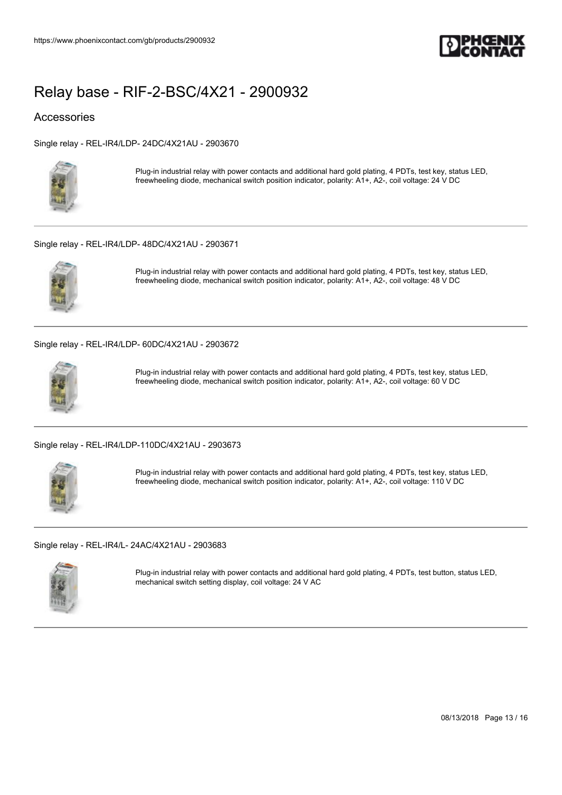

## Accessories

[Single relay - REL-IR4/LDP- 24DC/4X21AU - 2903670](https://www.phoenixcontact.com/gb/products/2903670)



Plug-in industrial relay with power contacts and additional hard gold plating, 4 PDTs, test key, status LED, freewheeling diode, mechanical switch position indicator, polarity: A1+, A2-, coil voltage: 24 V DC

### [Single relay - REL-IR4/LDP- 48DC/4X21AU - 2903671](https://www.phoenixcontact.com/gb/products/2903671)



Plug-in industrial relay with power contacts and additional hard gold plating, 4 PDTs, test key, status LED, freewheeling diode, mechanical switch position indicator, polarity: A1+, A2-, coil voltage: 48 V DC

[Single relay - REL-IR4/LDP- 60DC/4X21AU - 2903672](https://www.phoenixcontact.com/gb/products/2903672)



Plug-in industrial relay with power contacts and additional hard gold plating, 4 PDTs, test key, status LED, freewheeling diode, mechanical switch position indicator, polarity: A1+, A2-, coil voltage: 60 V DC

[Single relay - REL-IR4/LDP-110DC/4X21AU - 2903673](https://www.phoenixcontact.com/gb/products/2903673)



Plug-in industrial relay with power contacts and additional hard gold plating, 4 PDTs, test key, status LED, freewheeling diode, mechanical switch position indicator, polarity: A1+, A2-, coil voltage: 110 V DC

[Single relay - REL-IR4/L- 24AC/4X21AU - 2903683](https://www.phoenixcontact.com/gb/products/2903683)



Plug-in industrial relay with power contacts and additional hard gold plating, 4 PDTs, test button, status LED, mechanical switch setting display, coil voltage: 24 V AC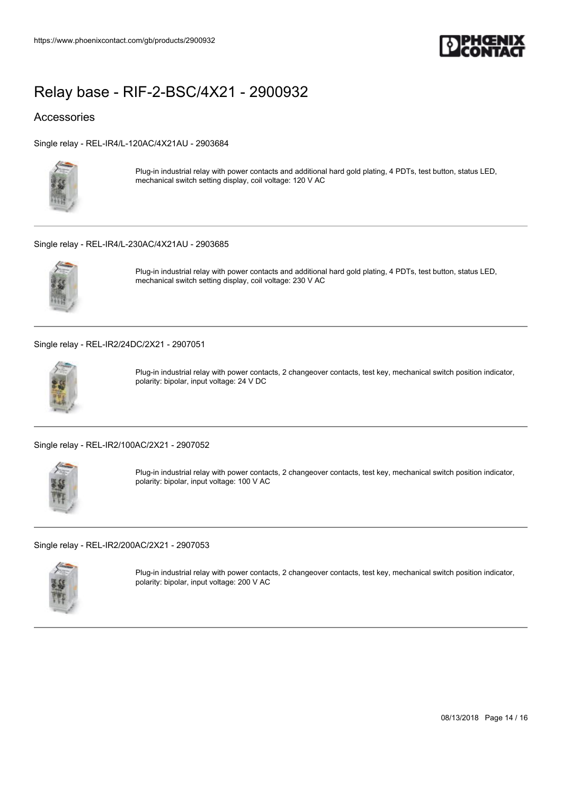

## Accessories

[Single relay - REL-IR4/L-120AC/4X21AU - 2903684](https://www.phoenixcontact.com/gb/products/2903684)



Plug-in industrial relay with power contacts and additional hard gold plating, 4 PDTs, test button, status LED, mechanical switch setting display, coil voltage: 120 V AC

### [Single relay - REL-IR4/L-230AC/4X21AU - 2903685](https://www.phoenixcontact.com/gb/products/2903685)



Plug-in industrial relay with power contacts and additional hard gold plating, 4 PDTs, test button, status LED, mechanical switch setting display, coil voltage: 230 V AC

[Single relay - REL-IR2/24DC/2X21 - 2907051](https://www.phoenixcontact.com/gb/products/2907051)



Plug-in industrial relay with power contacts, 2 changeover contacts, test key, mechanical switch position indicator, polarity: bipolar, input voltage: 24 V DC

[Single relay - REL-IR2/100AC/2X21 - 2907052](https://www.phoenixcontact.com/gb/products/2907052)



Plug-in industrial relay with power contacts, 2 changeover contacts, test key, mechanical switch position indicator, polarity: bipolar, input voltage: 100 V AC

[Single relay - REL-IR2/200AC/2X21 - 2907053](https://www.phoenixcontact.com/gb/products/2907053)



Plug-in industrial relay with power contacts, 2 changeover contacts, test key, mechanical switch position indicator, polarity: bipolar, input voltage: 200 V AC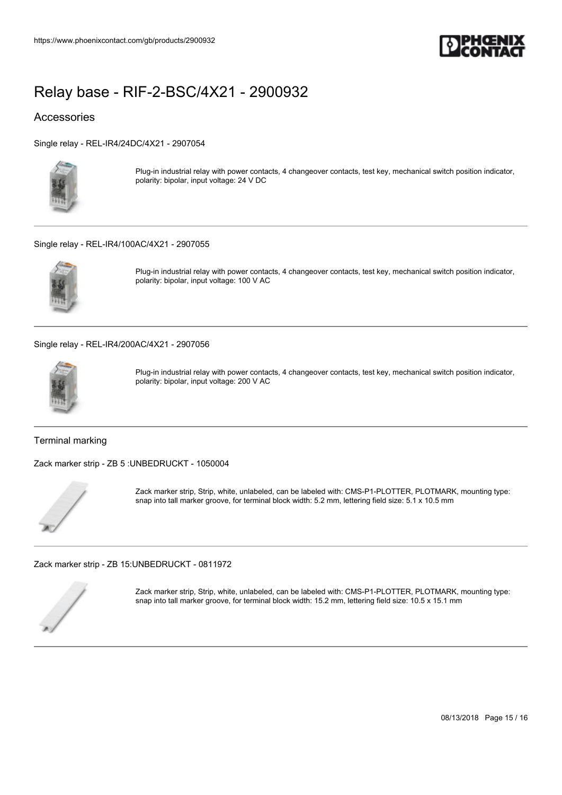

## Accessories

[Single relay - REL-IR4/24DC/4X21 - 2907054](https://www.phoenixcontact.com/gb/products/2907054)



Plug-in industrial relay with power contacts, 4 changeover contacts, test key, mechanical switch position indicator, polarity: bipolar, input voltage: 24 V DC

### [Single relay - REL-IR4/100AC/4X21 - 2907055](https://www.phoenixcontact.com/gb/products/2907055)



Plug-in industrial relay with power contacts, 4 changeover contacts, test key, mechanical switch position indicator, polarity: bipolar, input voltage: 100 V AC

[Single relay - REL-IR4/200AC/4X21 - 2907056](https://www.phoenixcontact.com/gb/products/2907056)



Plug-in industrial relay with power contacts, 4 changeover contacts, test key, mechanical switch position indicator, polarity: bipolar, input voltage: 200 V AC

### Terminal marking

[Zack marker strip - ZB 5 :UNBEDRUCKT - 1050004](https://www.phoenixcontact.com/gb/products/1050004)



Zack marker strip, Strip, white, unlabeled, can be labeled with: CMS-P1-PLOTTER, PLOTMARK, mounting type: snap into tall marker groove, for terminal block width: 5.2 mm, lettering field size: 5.1 x 10.5 mm

[Zack marker strip - ZB 15:UNBEDRUCKT - 0811972](https://www.phoenixcontact.com/gb/products/0811972)



Zack marker strip, Strip, white, unlabeled, can be labeled with: CMS-P1-PLOTTER, PLOTMARK, mounting type: snap into tall marker groove, for terminal block width: 15.2 mm, lettering field size: 10.5 x 15.1 mm